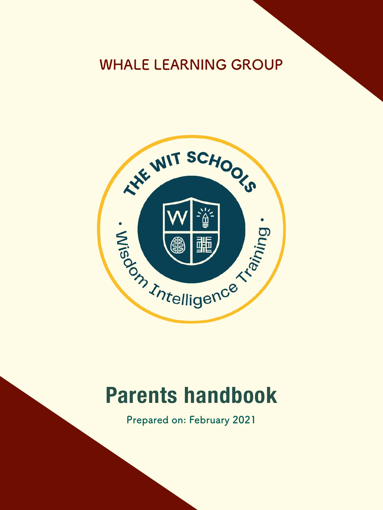# **WHALE LEARNING GROUP**



# **Parents handbook**

**Prepared on: February 2021**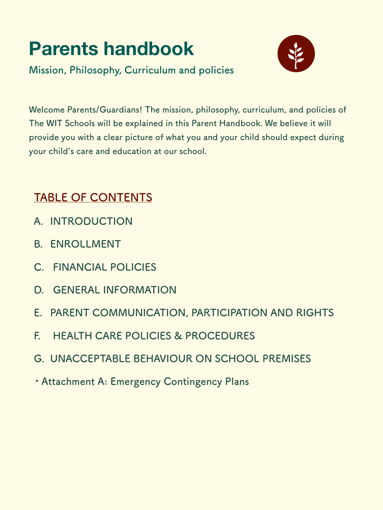# **Parents handbook**



**Mission, Philosophy, Curriculum and policies** 

**Welcome Parents/Guardians! The mission, philosophy, curriculum, and policies of The WIT Schools will be explained in this Parent Handbook. We believe it will provide you with a clear picture of what you and your child should expect during your child's care and education at our school.**

# **TABLE OF CONTENTS**

- **A. INTRODUCTION**
- **B. ENROLLMENT**
- **C. FINANCIAL POLICIES**
- **D. GENERAL INFORMATION**
- **E. PARENT COMMUNICATION, PARTICIPATION AND RIGHTS**
- **F. HEALTH CARE POLICIES & PROCEDURES**
- **G. UNACCEPTABLE BEHAVIOUR ON SCHOOL PREMISES**
- **‣Attachment A: Emergency Contingency Plans**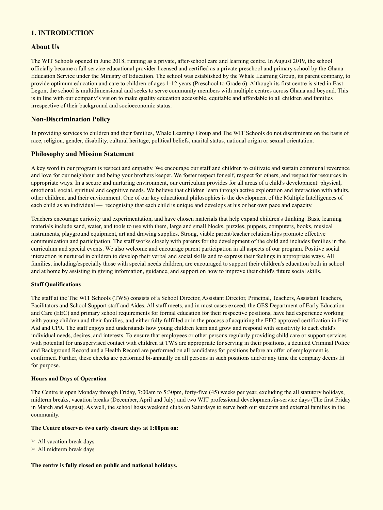# **1. INTRODUCTION**

### **About Us**

The WIT Schools opened in June 2018, running as a private, after-school care and learning centre. In August 2019, the school officially became a full service educational provider licensed and certified as a private preschool and primary school by the Ghana Education Service under the Ministry of Education. The school was established by the Whale Learning Group, its parent company, to provide optimum education and care to children of ages 1-12 years (Preschool to Grade 6). Although its first centre is sited in East Legon, the school is multidimensional and seeks to serve community members with multiple centres across Ghana and beyond. This is in line with our company's vision to make quality education accessible, equitable and affordable to all children and families irrespective of their background and socioeconomic status.

## **Non-Discrimination Policy**

**I**n providing services to children and their families, Whale Learning Group and The WIT Schools do not discriminate on the basis of race, religion, gender, disability, cultural heritage, political beliefs, marital status, national origin or sexual orientation.

### **Philosophy and Mission Statement**

A key word in our program is respect and empathy. We encourage our staff and children to cultivate and sustain communal reverence and love for our neighbour and being your brothers keeper. We foster respect for self, respect for others, and respect for resources in appropriate ways. In a secure and nurturing environment, our curriculum provides for all areas of a child's development: physical, emotional, social, spiritual and cognitive needs. We believe that children learn through active exploration and interaction with adults, other children, and their environment. One of our key educational philosophies is the development of the Multiple Intelligences of each child as an individual — recognising that each child is unique and develops at his or her own pace and capacity.

Teachers encourage curiosity and experimentation, and have chosen materials that help expand children's thinking. Basic learning materials include sand, water, and tools to use with them, large and small blocks, puzzles, puppets, computers, books, musical instruments, playground equipment, art and drawing supplies. Strong, viable parent/teacher relationships promote effective communication and participation. The staff works closely with parents for the development of the child and includes families in the curriculum and special events. We also welcome and encourage parent participation in all aspects of our program. Positive social interaction is nurtured in children to develop their verbal and social skills and to express their feelings in appropriate ways. All families, including/especially those with special needs children, are encouraged to support their children's education both in school and at home by assisting in giving information, guidance, and support on how to improve their child's future social skills.

#### **Staff Qualifications**

The staff at the The WIT Schools (TWS) consists of a School Director, Assistant Director, Principal, Teachers, Assistant Teachers, Facilitators and School Support staff and Aides. All staff meets, and in most cases exceed, the GES Department of Early Education and Care (EEC) and primary school requirements for formal education for their respective positions, have had experience working with young children and their families, and either fully fulfilled or in the process of acquiring the EEC approved certification in First Aid and CPR. The staff enjoys and understands how young children learn and grow and respond with sensitivity to each child's individual needs, desires, and interests. To ensure that employees or other persons regularly providing child care or support services with potential for unsupervised contact with children at TWS are appropriate for serving in their positions, a detailed Criminal Police and Background Record and a Health Record are performed on all candidates for positions before an offer of employment is confirmed. Further, these checks are performed bi-annually on all persons in such positions and/or any time the company deems fit for purpose.

#### **Hours and Days of Operation**

The Centre is open Monday through Friday, 7:00am to 5:30pm, forty-five (45) weeks per year, excluding the all statutory holidays, midterm breaks, vacation breaks (December, April and July) and two WIT professional development/in-service days (The first Friday in March and August). As well, the school hosts weekend clubs on Saturdays to serve both our students and external families in the community.

#### **The Centre observes two early closure days at 1:00pm on:**

 $\triangleright$  All vacation break days

 $\triangleright$  All midterm break days

#### **The centre is fully closed on public and national holidays.**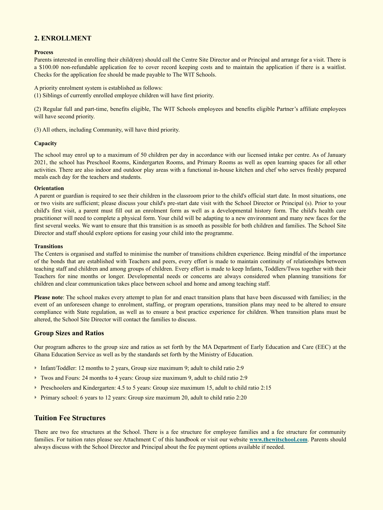# **2. ENROLLMENT**

#### **Process**

Parents interested in enrolling their child(ren) should call the Centre Site Director and or Principal and arrange for a visit. There is a \$100.00 non-refundable application fee to cover record keeping costs and to maintain the application if there is a waitlist. Checks for the application fee should be made payable to The WIT Schools.

A priority enrolment system is established as follows:

(1) Siblings of currently enrolled employee children will have first priority.

(2) Regular full and part-time, benefits eligible, The WIT Schools employees and benefits eligible Partner's affiliate employees will have second priority.

(3) All others, including Community, will have third priority.

#### **Capacity**

The school may enrol up to a maximum of 50 children per day in accordance with our licensed intake per centre. As of January 2021, the school has Preschool Rooms, Kindergarten Rooms, and Primary Rooms as well as open learning spaces for all other activities. There are also indoor and outdoor play areas with a functional in-house kitchen and chef who serves freshly prepared meals each day for the teachers and students.

#### **Orientation**

A parent or guardian is required to see their children in the classroom prior to the child's official start date. In most situations, one or two visits are sufficient; please discuss your child's pre-start date visit with the School Director or Principal (s). Prior to your child's first visit, a parent must fill out an enrolment form as well as a developmental history form. The child's health care practitioner will need to complete a physical form. Your child will be adapting to a new environment and many new faces for the first several weeks. We want to ensure that this transition is as smooth as possible for both children and families. The School Site Director and staff should explore options for easing your child into the programme.

#### **Transitions**

The Centers is organised and staffed to minimise the number of transitions children experience. Being mindful of the importance of the bonds that are established with Teachers and peers, every effort is made to maintain continuity of relationships between teaching staff and children and among groups of children. Every effort is made to keep Infants, Toddlers/Twos together with their Teachers for nine months or longer. Developmental needs or concerns are always considered when planning transitions for children and clear communication takes place between school and home and among teaching staff.

**Please note**: The school makes every attempt to plan for and enact transition plans that have been discussed with families; in the event of an unforeseen change to enrolment, staffing, or program operations, transition plans may need to be altered to ensure compliance with State regulation, as well as to ensure a best practice experience for children. When transition plans must be altered, the School Site Director will contact the families to discuss.

# **Group Sizes and Ratios**

Our program adheres to the group size and ratios as set forth by the MA Department of Early Education and Care (EEC) at the Ghana Education Service as well as by the standards set forth by the Ministry of Education.

- Infant/Toddler: 12 months to 2 years, Group size maximum 9; adult to child ratio 2:9
- ‣ Twos and Fours: 24 months to 4 years: Group size maximum 9, adult to child ratio 2:9
- **Preschoolers and Kindergarten: 4.5 to 5 years: Group size maximum 15, adult to child ratio 2:15**
- Primary school: 6 years to 12 years: Group size maximum 20, adult to child ratio 2:20

# **Tuition Fee Structures**

There are two fee structures at the School. There is a fee structure for employee families and a fee structure for community families. For tuition rates please see Attachment C of this handbook or visit our website **[www.thewitschool.com](http://www.thewitschool.com)**. Parents should always discuss with the School Director and Principal about the fee payment options available if needed.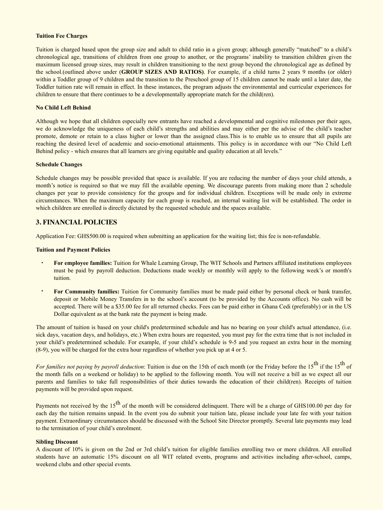#### **Tuition Fee Charges**

Tuition is charged based upon the group size and adult to child ratio in a given group; although generally "matched" to a child's chronological age, transitions of children from one group to another, or the programs' inability to transition children given the maximum licensed group sizes, may result in children transitioning to the next group beyond the chronological age as defined by the school.(outlined above under (**GROUP SIZES AND RATIOS)**. For example, if a child turns 2 years 9 months (or older) within a Toddler group of 9 children and the transition to the Preschool group of 15 children cannot be made until a later date, the Toddler tuition rate will remain in effect. In these instances, the program adjusts the environmental and curricular experiences for children to ensure that there continues to be a developmentally appropriate match for the child(ren).

#### **No Child Left Behind**

Although we hope that all children especially new entrants have reached a developmental and cognitive milestones per their ages, we do acknowledge the uniqueness of each child's strengths and abilities and may either per the advise of the child's teacher promote, demote or retain to a class higher or lower than the assigned class.This is to enable us to ensure that all pupils are reaching the desired level of academic and socio-emotional attainments. This policy is in accordance with our "No Child Left Behind policy - which ensures that all learners are giving equitable and quality education at all levels."

#### **Schedule Changes**

Schedule changes may be possible provided that space is available. If you are reducing the number of days your child attends, a month's notice is required so that we may fill the available opening. We discourage parents from making more than 2 schedule changes per year to provide consistency for the groups and for individual children. Exceptions will be made only in extreme circumstances. When the maximum capacity for each group is reached, an internal waiting list will be established. The order in which children are enrolled is directly dictated by the requested schedule and the spaces available.

#### **3. FINANCIAL POLICIES**

Application Fee: GHS500.00 is required when submitting an application for the waiting list; this fee is non-refundable.

#### **Tuition and Payment Policies**

- **For employee families:** Tuition for Whale Learning Group, The WIT Schools and Partners affiliated institutions employees must be paid by payroll deduction. Deductions made weekly or monthly will apply to the following week's or month's tuition.
- **For Community families:** Tuition for Community families must be made paid either by personal check or bank transfer, deposit or Mobile Money Transfers in to the school's account (to be provided by the Accounts office). No cash will be accepted. There will be a \$35.00 fee for all returned checks. Fees can be paid either in Ghana Cedi (preferably) or in the US Dollar equivalent as at the bank rate the payment is being made.

The amount of tuition is based on your child's predetermined schedule and has no bearing on your child's actual attendance, (i.e. sick days, vacation days, and holidays, etc.) When extra hours are requested, you must pay for the extra time that is not included in your child's predetermined schedule. For example, if your child's schedule is 9-5 and you request an extra hour in the morning (8-9), you will be charged for the extra hour regardless of whether you pick up at 4 or 5.

*For families not paying by payroll deduction*: Tuition is due on the 15th of each month (or the Friday before the 15<sup>th</sup> if the 15<sup>th</sup> of the month falls on a weekend or holiday) to be applied to the following month. You will not receive a bill as we expect all our parents and families to take full responsibilities of their duties towards the education of their child(ren). Receipts of tuition payments will be provided upon request.

Payments not received by the  $15<sup>th</sup>$  of the month will be considered delinquent. There will be a charge of GHS100.00 per day for each day the tuition remains unpaid. In the event you do submit your tuition late, please include your late fee with your tuition payment. Extraordinary circumstances should be discussed with the School Site Director promptly. Several late payments may lead to the termination of your child's enrolment.

#### **Sibling Discount**

A discount of 10% is given on the 2nd or 3rd child's tuition for eligible families enrolling two or more children. All enrolled students have an automatic 15% discount on all WIT related events, programs and activities including after-school, camps, weekend clubs and other special events.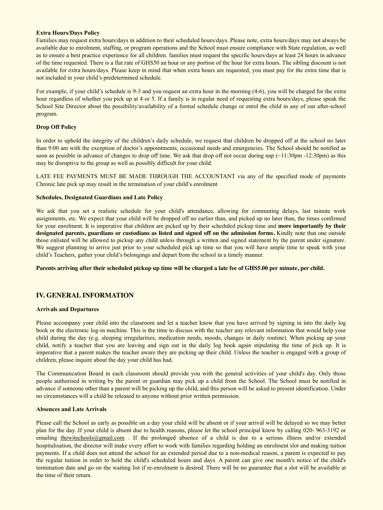#### **Extra Hours/Days Policy**

Families may request extra hours/days in addition to their scheduled hours/days. Please note, extra hours/days may not always be available due to enrolment, staffing, or program operations and the School must ensure compliance with State regulation, as well as to ensure a best practice experience for all children. families must request the specific hours/days at least 24 hours in advance of the time requested. There is a flat rate of GHS50 an hour or any portion of the hour for extra hours. The sibling discount is not available for extra hours/days. Please keep in mind that when extra hours are requested, you must pay for the extra time that is not included in your child's predetermined schedule.

For example, if your child's schedule is 9-3 and you request an extra hour in the morning (4-6), you will be charged for the extra hour regardless of whether you pick up at 4 or 5. If a family is in regular need of requesting extra hours/days, please speak the School Site Director about the possibility/availability of a formal schedule change or enrol the child in any of our after-school program.

#### **Drop Off Policy**

In order to uphold the integrity of the children's daily schedule, we request that children be dropped off at the school no later than 9:00 am with the exception of doctor's appointments, occasional needs and emergencies. The School should be notified as soon as possible in advance of changes to drop off time. We ask that drop off not occur during nap (~11:30pm -12:30pm) as this may be disruptive to the group as well as possibly difficult for your child.

LATE FEE PAYMENTS MUST BE MADE THROUGH THE ACCOUNTANT via any of the specified mode of payments Chronic late pick up may result in the termination of your child's enrolment

#### **Schedules, Designated Guardians and Late Policy**

We ask that you set a realistic schedule for your child's attendance, allowing for commuting delays, last minute work assignments, etc. We expect that your child will be dropped off no earlier than, and picked up no later than, the times confirmed for your enrolment. It is imperative that children are picked up by their scheduled pickup time and **more importantly by their designated parents, guardians or custodians as listed and signed off on the admission forms.** Kindly note that one outside those enlisted will be allowed to pickup any child unless through a written and signed statement by the parent under signature. We suggest planning to arrive just prior to your scheduled pick up time so that you will have ample time to speak with your child's Teachers, gather your child's belongings and depart from the school in a timely manner.

**Parents arriving after their scheduled pickup up time will be charged a late fee of GHS5.00 per minute, per child.** 

#### **IV. GENERAL INFORMATION**

#### **Arrivals and Departures**

Please accompany your child into the classroom and let a teacher know that you have arrived by signing in into the daily log book or the electronic log-in machine. This is the time to discuss with the teacher any relevant information that would help your child during the day (e.g. sleeping irregularities, medication needs, moods, changes in daily routine). When picking up your child, notify a teacher that you are leaving and sign out in the daily log book again stipulating the time of pick up. It is imperative that a parent makes the teacher aware they are picking up their child. Unless the teacher is engaged with a group of children, please inquire about the day your child has had.

The Communication Board in each classroom should provide you with the general activities of your child's day. Only those people authorised in writing by the parent or guardian may pick up a child from the School. The School must be notified in advance if someone other than a parent will be picking up the child, and this person will be asked to present identification. Under no circumstances will a child be released to anyone without prior written permission.

#### **Absences and Late Arrivals**

Please call the School as early as possible on a day your child will be absent or if your arrival will be delayed so we may better plan for the day. If your child is absent due to health reasons, please let the school principal know by calling 020- 963-3192 or emailing [thewitschools@gmail.com](mailto:thewitschools@gmail.com). If the prolonged absence of a child is due to a serious illness and/or extended hospitalisation, the director will make every effort to work with families regarding holding an enrolment slot and making tuition payments. If a child does not attend the school for an extended period due to a non-medical reason, a parent is expected to pay the regular tuition in order to hold the child's scheduled hours and days. A parent can give one month's notice of the child's termination date and go on the waiting list if re-enrolment is desired. There will be no guarantee that a slot will be available at the time of their return.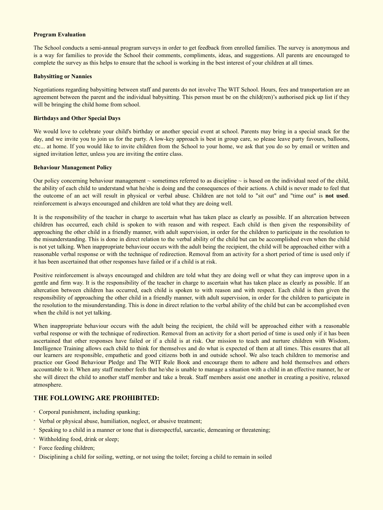#### **Program Evaluation**

The School conducts a semi-annual program surveys in order to get feedback from enrolled families. The survey is anonymous and is a way for families to provide the School their comments, compliments, ideas, and suggestions. All parents are encouraged to complete the survey as this helps to ensure that the school is working in the best interest of your children at all times.

#### **Babysitting or Nannies**

Negotiations regarding babysitting between staff and parents do not involve The WIT School. Hours, fees and transportation are an agreement between the parent and the individual babysitting. This person must be on the child(ren)'s authorised pick up list if they will be bringing the child home from school.

#### **Birthdays and Other Special Days**

We would love to celebrate your child's birthday or another special event at school. Parents may bring in a special snack for the day, and we invite you to join us for the party. A low-key approach is best in group care, so please leave party favours, balloons, etc... at home. If you would like to invite children from the School to your home, we ask that you do so by email or written and signed invitation letter, unless you are inviting the entire class.

#### **Behaviour Management Policy**

Our policy concerning behaviour management  $\sim$  sometimes referred to as discipline  $\sim$  is based on the individual need of the child, the ability of each child to understand what he/she is doing and the consequences of their actions. A child is never made to feel that the outcome of an act will result in physical or verbal abuse. Children are not told to "sit out" and "time out" is **not used**. reinforcement is always encouraged and children are told what they are doing well.

It is the responsibility of the teacher in charge to ascertain what has taken place as clearly as possible. If an altercation between children has occurred, each child is spoken to with reason and with respect. Each child is then given the responsibility of approaching the other child in a friendly manner, with adult supervision, in order for the children to participate in the resolution to the misunderstanding. This is done in direct relation to the verbal ability of the child but can be accomplished even when the child is not yet talking. When inappropriate behaviour occurs with the adult being the recipient, the child will be approached either with a reasonable verbal response or with the technique of redirection. Removal from an activity for a short period of time is used only if it has been ascertained that other responses have failed or if a child is at risk.

Positive reinforcement is always encouraged and children are told what they are doing well or what they can improve upon in a gentle and firm way. It is the responsibility of the teacher in charge to ascertain what has taken place as clearly as possible. If an altercation between children has occurred, each child is spoken to with reason and with respect. Each child is then given the responsibility of approaching the other child in a friendly manner, with adult supervision, in order for the children to participate in the resolution to the misunderstanding. This is done in direct relation to the verbal ability of the child but can be accomplished even when the child is not yet talking.

When inappropriate behaviour occurs with the adult being the recipient, the child will be approached either with a reasonable verbal response or with the technique of redirection. Removal from an activity for a short period of time is used only if it has been ascertained that other responses have failed or if a child is at risk. Our mission to teach and nurture children with Wisdom, Intelligence Training allows each child to think for themselves and do what is expected of them at all times. This ensures that all our learners are responsible, empathetic and good citizens both in and outside school. We also teach children to memorise and practice our Good Behaviour Pledge and The WIT Rule Book and encourage them to adhere and hold themselves and others accountable to it. When any staff member feels that he/she is unable to manage a situation with a child in an effective manner, he or she will direct the child to another staff member and take a break. Staff members assist one another in creating a positive, relaxed atmosphere.

#### **THE FOLLOWING ARE PROHIBITED:**

- Corporal punishment, including spanking;
- Verbal or physical abuse, humiliation, neglect, or abusive treatment;
- Speaking to a child in a manner or tone that is disrespectful, sarcastic, demeaning or threatening;
- Withholding food, drink or sleep;
- Force feeding children;
- Disciplining a child for soiling, wetting, or not using the toilet; forcing a child to remain in soiled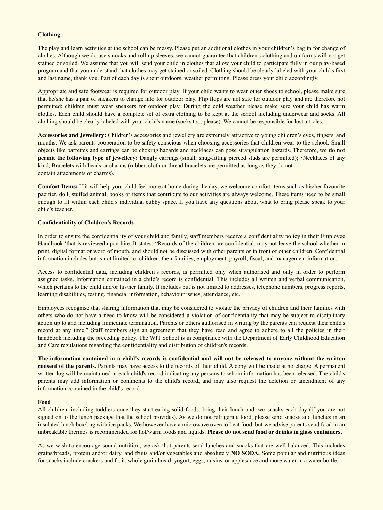#### **Clothing**

The play and learn activities at the school can be messy. Please put an additional clothes in your children's bag in for change of clothes. Although we do use smocks and roll up sleeves, we cannot guarantee that children's clothing and uniforms will not get stained or soiled. We assume that you will send your child in clothes that allow your child to participate fully in our play-based program and that you understand that clothes may get stained or soiled. Clothing should be clearly labeled with your child's first and last name, thank you. Part of each day is spent outdoors, weather permitting. Please dress your child accordingly.

Appropriate and safe footwear is required for outdoor play. If your child wants to wear other shoes to school, please make sure that he/she has a pair of sneakers to change into for outdoor play. Flip flops are not safe for outdoor play and are therefore not permitted; children must wear sneakers for outdoor play. During the cold weather please make sure your child has warm clothes. Each child should have a complete set of extra clothing to be kept at the school including underwear and socks. All clothing should be clearly labeled with your child's name (socks too, please). We cannot be responsible for lost articles.

**Accessories and Jewellery:** Children's accessories and jewellery are extremely attractive to young children's eyes, fingers, and mouths. We ask parents cooperation to be safety conscious when choosing accessories that children wear to the school. Small objects like barrettes and earrings can be choking hazards and necklaces can pose strangulation hazards. Therefore, we **do not permit the following type of jewellery:** Dangly earrings (small, snug-fitting pierced studs are permitted); Necklaces of any kind; Bracelets with beads or charms (rubber, cloth or thread bracelets are permitted as long as they do not contain attachments or charms).

**Comfort Items:** If it will help your child feel more at home during the day, we welcome comfort items such as his/her favourite pacifier, doll, stuffed animal, books or items that contribute to our activities are always welcome. These items need to be small enough to fit within each child's individual cubby space. If you have any questions about what to bring please speak to your child's teacher.

#### **Confidentiality of Children's Records**

In order to ensure the confidentiality of your child and family, staff members receive a confidentiality policy in their Employee Handbook 'that is reviewed upon hire. It states: "Records of the children are confidential, may not leave the school whether in print, digital format or word of mouth, and should not be discussed with other parents or in front of other children. Confidential information includes but is not limited to: children, their families, employment, payroll, fiscal, and management information.

Access to confidential data, including children's records, is permitted only when authorised and only in order to perform assigned tasks. Information contained in a child's record is confidential. This includes all written and verbal communication, which pertains to the child and/or his/her family. It includes but is not limited to addresses, telephone numbers, progress reports, learning disabilities, testing, financial information, behaviour issues, attendance, etc.

Employees recognise that sharing information that may be considered to violate the privacy of children and their families with others who do not have a need to know will be considered a violation of confidentiality that may be subject to disciplinary action up to and including immediate termination. Parents or others authorised in writing by the parents can request their child's record at any time." Staff members sign an agreement that they have read and agree to adhere to all the policies in their handbook including the preceding policy. The WIT School is in compliance with the Department of Early Childhood Education and Care regulations regarding the confidentiality and distribution of children's records.

**The information contained in a child's records is confidential and will not be released to anyone without the written consent of the parents.** Parents may have access to the records of their child. A copy will be made at no charge. A permanent written log will be maintained in each child's record indicating any persons to whom information has been released. The child's parents may add information or comments to the child's record, and may also request the deletion or amendment of any information contained in the child's record.

#### **Food**

All children, including toddlers once they start eating solid foods, bring their lunch and two snacks each day (if you are not signed on to the lunch package that the school provides). As we do not refrigerate food, please send snacks and lunches in an insulated lunch box/bag with ice packs. We however have a microwave oven to heat food, but we advise parents send food in an unbreakable thermos is recommended for hot/warm foods and liquids. **Please do not send food or drinks in glass containers.** 

As we wish to encourage sound nutrition, we ask that parents send lunches and snacks that are well balanced. This includes grains/breads, protein and/or dairy, and fruits and/or vegetables and absolutely **NO SODA.** Some popular and nutritious ideas for snacks include crackers and fruit, whole grain bread, yogurt, eggs, raisins, or applesauce and more water in a water bottle.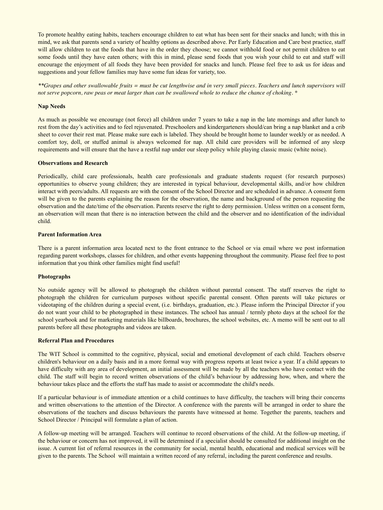To promote healthy eating habits, teachers encourage children to eat what has been sent for their snacks and lunch; with this in mind, we ask that parents send a variety of healthy options as described above. Per Early Education and Care best practice, staff will allow children to eat the foods that have in the order they choose; we cannot withhold food or not permit children to eat some foods until they have eaten others; with this in mind, please send foods that you wish your child to eat and staff will encourage the enjoyment of all foods they have been provided for snacks and lunch. Please feel free to ask us for ideas and suggestions and your fellow families may have some fun ideas for variety, too.

*\*\*Grapes and other swallowable fruits = must be cut lengthwise and in very small pieces. Teachers and lunch supervisors will not serve popcorn, raw peas or meat larger than can be swallowed whole to reduce the chance of choking. \** 

#### **Nap Needs**

As much as possible we encourage (not force) all children under 7 years to take a nap in the late mornings and after lunch to rest from the day's activities and to feel rejuvenated. Preschoolers and kindergarteners should/can bring a nap blanket and a crib sheet to cover their rest mat. Please make sure each is labeled. They should be brought home to launder weekly or as needed. A comfort toy, doll, or stuffed animal is always welcomed for nap. All child care providers will be informed of any sleep requirements and will ensure that the have a restful nap under our sleep policy while playing classic music (white noise).

#### **Observations and Research**

Periodically, child care professionals, health care professionals and graduate students request (for research purposes) opportunities to observe young children; they are interested in typical behaviour, developmental skills, and/or how children interact with peers/adults. All requests are with the consent of the School Director and are scheduled in advance. A consent form will be given to the parents explaining the reason for the observation, the name and background of the person requesting the observation and the date/time of the observation. Parents reserve the right to deny permission. Unless written on a consent form, an observation will mean that there is no interaction between the child and the observer and no identification of the individual child.

#### **Parent Information Area**

There is a parent information area located next to the front entrance to the School or via email where we post information regarding parent workshops, classes for children, and other events happening throughout the community. Please feel free to post information that you think other families might find useful!

#### **Photographs**

No outside agency will be allowed to photograph the children without parental consent. The staff reserves the right to photograph the children for curriculum purposes without specific parental consent. Often parents will take pictures or videotaping of the children during a special event, (i.e. birthdays, graduation, etc.). Please inform the Principal Director if you do not want your child to be photographed in these instances. The school has annual / termly photo days at the school for the school yearbook and for marketing materials like billboards, brochures, the school websites, etc. A memo will be sent out to all parents before all these photographs and videos are taken.

#### **Referral Plan and Procedures**

The WIT School is committed to the cognitive, physical, social and emotional development of each child. Teachers observe children's behaviour on a daily basis and in a more formal way with progress reports at least twice a year. If a child appears to have difficulty with any area of development, an initial assessment will be made by all the teachers who have contact with the child. The staff will begin to record written observations of the child's behaviour by addressing how, when, and where the behaviour takes place and the efforts the staff has made to assist or accommodate the child's needs.

If a particular behaviour is of immediate attention or a child continues to have difficulty, the teachers will bring their concerns and written observations to the attention of the Director. A conference with the parents will be arranged in order to share the observations of the teachers and discuss behaviours the parents have witnessed at home. Together the parents, teachers and School Director / Principal will formulate a plan of action.

A follow-up meeting will be arranged. Teachers will continue to record observations of the child. At the follow-up meeting, if the behaviour or concern has not improved, it will be determined if a specialist should be consulted for additional insight on the issue. A current list of referral resources in the community for social, mental health, educational and medical services will be given to the parents. The School will maintain a written record of any referral, including the parent conference and results.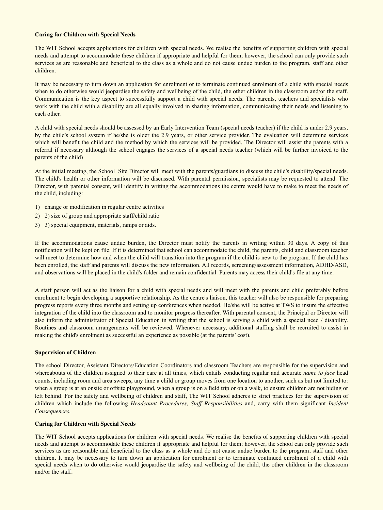#### **Caring for Children with Special Needs**

The WIT School accepts applications for children with special needs. We realise the benefits of supporting children with special needs and attempt to accommodate these children if appropriate and helpful for them; however, the school can only provide such services as are reasonable and beneficial to the class as a whole and do not cause undue burden to the program, staff and other children.

It may be necessary to turn down an application for enrolment or to terminate continued enrolment of a child with special needs when to do otherwise would jeopardise the safety and wellbeing of the child, the other children in the classroom and/or the staff. Communication is the key aspect to successfully support a child with special needs. The parents, teachers and specialists who work with the child with a disability are all equally involved in sharing information, communicating their needs and listening to each other.

A child with special needs should be assessed by an Early Intervention Team (special needs teacher) if the child is under 2.9 years, by the child's school system if he/she is older the 2.9 years, or other service provider. The evaluation will determine services which will benefit the child and the method by which the services will be provided. The Director will assist the parents with a referral if necessary although the school engages the services of a special needs teacher (which will be further invoiced to the parents of the child)

At the initial meeting, the School Site Director will meet with the parents/guardians to discuss the child's disability/special needs. The child's health or other information will be discussed. With parental permission, specialists may be requested to attend. The Director, with parental consent, will identify in writing the accommodations the centre would have to make to meet the needs of the child, including:

- 1) change or modification in regular centre activities
- 2) 2) size of group and appropriate staff/child ratio
- 3) 3) special equipment, materials, ramps or aids.

If the accommodations cause undue burden, the Director must notify the parents in writing within 30 days. A copy of this notification will be kept on file. If it is determined that school can accommodate the child, the parents, child and classroom teacher will meet to determine how and when the child will transition into the program if the child is new to the program. If the child has been enrolled, the staff and parents will discuss the new information. All records, screening/assessment information, ADHD/ASD, and observations will be placed in the child's folder and remain confidential. Parents may access their child's file at any time.

A staff person will act as the liaison for a child with special needs and will meet with the parents and child preferably before enrolment to begin developing a supportive relationship. As the centre's liaison, this teacher will also be responsible for preparing progress reports every three months and setting up conferences when needed. He/she will be active at TWS to insure the effective integration of the child into the classroom and to monitor progress thereafter. With parental consent, the Principal or Director will also inform the administrator of Special Education in writing that the school is serving a child with a special need / disability. Routines and classroom arrangements will be reviewed. Whenever necessary, additional staffing shall be recruited to assist in making the child's enrolment as successful an experience as possible (at the parents' cost).

#### **Supervision of Children**

The school Director, Assistant Directors/Education Coordinators and classroom Teachers are responsible for the supervision and whereabouts of the children assigned to their care at all times*,* which entails conducting regular and accurate *name to face* head counts, including room and area sweeps, any time a child or group moves from one location to another, such as but not limited to: when a group is at an onsite or offsite playground, when a group is on a field trip or on a walk, to ensure children are not hiding or left behind. For the safety and wellbeing of children and staff, The WIT School adheres to strict practices for the supervision of children which include the following *Headcount Procedures*, *Staff Responsibilities* and, carry with them significant *Incident Consequences*.

#### **Caring for Children with Special Needs**

The WIT School accepts applications for children with special needs. We realise the benefits of supporting children with special needs and attempt to accommodate these children if appropriate and helpful for them; however, the school can only provide such services as are reasonable and beneficial to the class as a whole and do not cause undue burden to the program, staff and other children. It may be necessary to turn down an application for enrolment or to terminate continued enrolment of a child with special needs when to do otherwise would jeopardise the safety and wellbeing of the child, the other children in the classroom and/or the staff.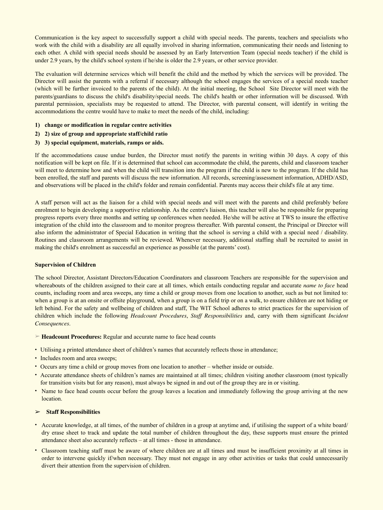Communication is the key aspect to successfully support a child with special needs. The parents, teachers and specialists who work with the child with a disability are all equally involved in sharing information, communicating their needs and listening to each other. A child with special needs should be assessed by an Early Intervention Team (special needs teacher) if the child is under 2.9 years, by the child's school system if he/she is older the 2.9 years, or other service provider.

The evaluation will determine services which will benefit the child and the method by which the services will be provided. The Director will assist the parents with a referral if necessary although the school engages the services of a special needs teacher (which will be further invoiced to the parents of the child). At the initial meeting, the School Site Director will meet with the parents/guardians to discuss the child's disability/special needs. The child's health or other information will be discussed. With parental permission, specialists may be requested to attend. The Director, with parental consent, will identify in writing the accommodations the centre would have to make to meet the needs of the child, including:

- **1) change or modification in regular centre activities**
- **2) 2) size of group and appropriate staff/child ratio**
- **3) 3) special equipment, materials, ramps or aids.**

If the accommodations cause undue burden, the Director must notify the parents in writing within 30 days. A copy of this notification will be kept on file. If it is determined that school can accommodate the child, the parents, child and classroom teacher will meet to determine how and when the child will transition into the program if the child is new to the program. If the child has been enrolled, the staff and parents will discuss the new information. All records, screening/assessment information, ADHD/ASD, and observations will be placed in the child's folder and remain confidential. Parents may access their child's file at any time.

A staff person will act as the liaison for a child with special needs and will meet with the parents and child preferably before enrolment to begin developing a supportive relationship. As the centre's liaison, this teacher will also be responsible for preparing progress reports every three months and setting up conferences when needed. He/she will be active at TWS to insure the effective integration of the child into the classroom and to monitor progress thereafter. With parental consent, the Principal or Director will also inform the administrator of Special Education in writing that the school is serving a child with a special need / disability. Routines and classroom arrangements will be reviewed. Whenever necessary, additional staffing shall be recruited to assist in making the child's enrolment as successful an experience as possible (at the parents' cost).

#### **Supervision of Children**

The school Director, Assistant Directors/Education Coordinators and classroom Teachers are responsible for the supervision and whereabouts of the children assigned to their care at all times*,* which entails conducting regular and accurate *name to face* head counts, including room and area sweeps, any time a child or group moves from one location to another, such as but not limited to: when a group is at an onsite or offsite playground, when a group is on a field trip or on a walk, to ensure children are not hiding or left behind. For the safety and wellbeing of children and staff, The WIT School adheres to strict practices for the supervision of children which include the following *Headcount Procedures*, *Staff Responsibilities* and, carry with them significant *Incident Consequences*.

➢ **Headcount Procedures:** Regular and accurate name to face head counts

- Utilising a printed attendance sheet of children's names that accurately reflects those in attendance;
- Includes room and area sweeps;
- Occurs any time a child or group moves from one location to another whether inside or outside.
- Accurate attendance sheets of children's names are maintained at all times; children visiting another classroom (most typically for transition visits but for any reason), must always be signed in and out of the group they are in or visiting.
- Name to face head counts occur before the group leaves a location and immediately following the group arriving at the new location.

#### ➢ **Staff Responsibilities**

- Accurate knowledge, at all times, of the number of children in a group at anytime and, if utilising the support of a white board/ dry erase sheet to track and update the total number of children throughout the day, these supports must ensure the printed attendance sheet also accurately reflects – at all times - those in attendance.
- Classroom teaching staff must be aware of where children are at all times and must be insufficient proximity at all times in order to intervene quickly if/when necessary. They must not engage in any other activities or tasks that could unnecessarily divert their attention from the supervision of children.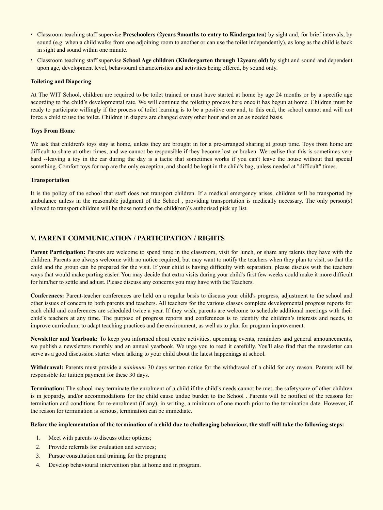- Classroom teaching staff supervise **Preschoolers (2years 9months to entry to Kindergarten)** by sight and, for brief intervals, by sound (e.g. when a child walks from one adjoining room to another or can use the toilet independently), as long as the child is back in sight and sound within one minute.
- Classroom teaching staff supervise **School Age children (Kindergarten through 12years old)** by sight and sound and dependent upon age, development level, behavioural characteristics and activities being offered, by sound only.

#### **Toileting and Diapering**

At The WIT School, children are required to be toilet trained or must have started at home by age 24 months or by a specific age according to the child's developmental rate. We will continue the toileting process here once it has begun at home. Children must be ready to participate willingly if the process of toilet learning is to be a positive one and, to this end, the school cannot and will not force a child to use the toilet. Children in diapers are changed every other hour and on an as needed basis.

#### **Toys From Home**

We ask that children's toys stay at home, unless they are brought in for a pre-arranged sharing at group time. Toys from home are difficult to share at other times, and we cannot be responsible if they become lost or broken. We realise that this is sometimes very hard --leaving a toy in the car during the day is a tactic that sometimes works if you can't leave the house without that special something. Comfort toys for nap are the only exception, and should be kept in the child's bag, unless needed at "difficult" times.

#### **Transportation**

It is the policy of the school that staff does not transport children. If a medical emergency arises, children will be transported by ambulance unless in the reasonable judgment of the School , providing transportation is medically necessary. The only person(s) allowed to transport children will be those noted on the child(ren)'s authorised pick up list.

#### **V. PARENT COMMUNICATION / PARTICIPATION / RIGHTS**

Parent Participation: Parents are welcome to spend time in the classroom, visit for lunch, or share any talents they have with the children. Parents are always welcome with no notice required, but may want to notify the teachers when they plan to visit, so that the child and the group can be prepared for the visit. If your child is having difficulty with separation, please discuss with the teachers ways that would make parting easier. You may decide that extra visits during your child's first few weeks could make it more difficult for him/her to settle and adjust. Please discuss any concerns you may have with the Teachers.

**Conferences:** Parent-teacher conferences are held on a regular basis to discuss your child's progress, adjustment to the school and other issues of concern to both parents and teachers. All teachers for the various classes complete developmental progress reports for each child and conferences are scheduled twice a year. If they wish, parents are welcome to schedule additional meetings with their child's teachers at any time. The purpose of progress reports and conferences is to identify the children's interests and needs, to improve curriculum, to adapt teaching practices and the environment, as well as to plan for program improvement.

**Newsletter and Yearbook:** To keep you informed about centre activities, upcoming events, reminders and general announcements, we publish a newsletters monthly and an annual yearbook. We urge you to read it carefully. You'll also find that the newsletter can serve as a good discussion starter when talking to your child about the latest happenings at school.

**Withdrawal:** Parents must provide a *minimum* 30 days written notice for the withdrawal of a child for any reason. Parents will be responsible for tuition payment for these 30 days.

**Termination:** The school may terminate the enrolment of a child if the child's needs cannot be met, the safety/care of other children is in jeopardy, and/or accommodations for the child cause undue burden to the School . Parents will be notified of the reasons for termination and conditions for re-enrolment (if any), in writing, a minimum of one month prior to the termination date. However, if the reason for termination is serious, termination can be immediate.

#### **Before the implementation of the termination of a child due to challenging behaviour, the staff will take the following steps:**

- 1. Meet with parents to discuss other options;
- 2. Provide referrals for evaluation and services;
- 3. Pursue consultation and training for the program;
- 4. Develop behavioural intervention plan at home and in program.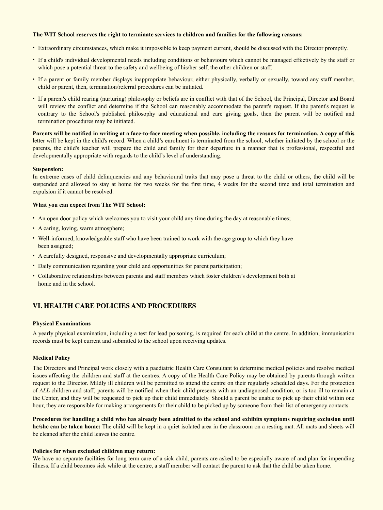#### **The WIT School reserves the right to terminate services to children and families for the following reasons:**

- Extraordinary circumstances, which make it impossible to keep payment current, should be discussed with the Director promptly.
- If a child's individual developmental needs including conditions or behaviours which cannot be managed effectively by the staff or which pose a potential threat to the safety and wellbeing of his/her self, the other children or staff.
- If a parent or family member displays inappropriate behaviour, either physically, verbally or sexually, toward any staff member, child or parent, then, termination/referral procedures can be initiated.
- If a parent's child rearing (nurturing) philosophy or beliefs are in conflict with that of the School, the Principal, Director and Board will review the conflict and determine if the School can reasonably accommodate the parent's request. If the parent's request is contrary to the School's published philosophy and educational and care giving goals, then the parent will be notified and termination procedures may be initiated.

**Parents will be notified in writing at a face-to-face meeting when possible, including the reasons for termination. A copy of this**  letter will be kept in the child's record. When a child's enrolment is terminated from the school, whether initiated by the school or the parents, the child's teacher will prepare the child and family for their departure in a manner that is professional, respectful and developmentally appropriate with regards to the child's level of understanding.

#### **Suspension:**

In extreme cases of child delinquencies and any behavioural traits that may pose a threat to the child or others, the child will be suspended and allowed to stay at home for two weeks for the first time, 4 weeks for the second time and total termination and expulsion if it cannot be resolved.

#### **What you can expect from The WIT School:**

- An open door policy which welcomes you to visit your child any time during the day at reasonable times;
- A caring, loving, warm atmosphere;
- Well-informed, knowledgeable staff who have been trained to work with the age group to which they have been assigned;
- A carefully designed, responsive and developmentally appropriate curriculum;
- Daily communication regarding your child and opportunities for parent participation;
- Collaborative relationships between parents and staff members which foster children's development both at home and in the school.

# **VI. HEALTH CARE POLICIES AND PROCEDURES**

#### **Physical Examinations**

A yearly physical examination, including a test for lead poisoning, is required for each child at the centre. In addition, immunisation records must be kept current and submitted to the school upon receiving updates.

#### **Medical Policy**

The Directors and Principal work closely with a paediatric Health Care Consultant to determine medical policies and resolve medical issues affecting the children and staff at the centres. A copy of the Health Care Policy may be obtained by parents through written request to the Director. Mildly ill children will be permitted to attend the centre on their regularly scheduled days. For the protection of *ALL* children and staff, parents will be notified when their child presents with an undiagnosed condition, or is too ill to remain at the Center, and they will be requested to pick up their child immediately. Should a parent be unable to pick up their child within one hour, they are responsible for making arrangements for their child to be picked up by someone from their list of emergency contacts.

**Procedures for handling a child who has already been admitted to the school and exhibits symptoms requiring exclusion until he/she can be taken home:** The child will be kept in a quiet isolated area in the classroom on a resting mat. All mats and sheets will be cleaned after the child leaves the centre.

#### **Policies for when excluded children may return:**

We have no separate facilities for long term care of a sick child, parents are asked to be especially aware of and plan for impending illness. If a child becomes sick while at the centre, a staff member will contact the parent to ask that the child be taken home.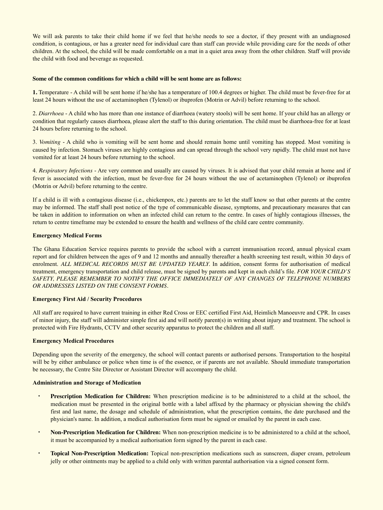We will ask parents to take their child home if we feel that he/she needs to see a doctor, if they present with an undiagnosed condition, is contagious, or has a greater need for individual care than staff can provide while providing care for the needs of other children. At the school, the child will be made comfortable on a mat in a quiet area away from the other children. Staff will provide the child with food and beverage as requested.

#### **Some of the common conditions for which a child will be sent home are as follows:**

**1.** Temperature - A child will be sent home if he/she has a temperature of 100.4 degrees or higher. The child must be fever-free for at least 24 hours without the use of acetaminophen (Tylenol) or ibuprofen (Motrin or Advil) before returning to the school.

2. *Diarrhoea* - A child who has more than one instance of diarrhoea (watery stools) will be sent home. If your child has an allergy or condition that regularly causes diarrhoea, please alert the staff to this during orientation. The child must be diarrhoea-free for at least 24 hours before returning to the school.

3. *Vomiting* - A child who is vomiting will be sent home and should remain home until vomiting has stopped. Most vomiting is caused by infection. Stomach viruses are highly contagious and can spread through the school very rapidly. The child must not have vomited for at least 24 hours before returning to the school.

4. *Respiratory Infections* - Are very common and usually are caused by viruses. It is advised that your child remain at home and if fever is associated with the infection, must be fever-free for 24 hours without the use of acetaminophen (Tylenol) or ibuprofen (Motrin or Advil) before returning to the centre.

If a child is ill with a contagious disease (i.e., chickenpox, etc.) parents are to let the staff know so that other parents at the centre may be informed. The staff shall post notice of the type of communicable disease, symptoms, and precautionary measures that can be taken in addition to information on when an infected child can return to the centre. In cases of highly contagious illnesses, the return to centre timeframe may be extended to ensure the health and wellness of the child care centre community.

#### **Emergency Medical Forms**

The Ghana Education Service requires parents to provide the school with a current immunisation record, annual physical exam report and for children between the ages of 9 and 12 months and annually thereafter a health screening test result, within 30 days of enrolment. ALL MEDICAL RECORDS MUST BE UPDATED YEARLY. In addition, consent forms for authorisation of medical treatment, emergency transportation and child release, must be signed by parents and kept in each child's file. *FOR YOUR CHILD'S SAFETY, PLEASE REMEMBER TO NOTIFY THE OFFICE IMMEDIATELY OF ANY CHANGES OF TELEPHONE NUMBERS OR ADDRESSES LISTED ON THE CONSENT FORMS.* 

#### **Emergency First Aid / Security Procedures**

All staff are required to have current training in either Red Cross or EEC certified First Aid, Heimlich Manoeuvre and CPR. In cases of minor injury, the staff will administer simple first aid and will notify parent(s) in writing about injury and treatment. The school is protected with Fire Hydrants, CCTV and other security apparatus to protect the children and all staff.

#### **Emergency Medical Procedures**

Depending upon the severity of the emergency, the school will contact parents or authorised persons. Transportation to the hospital will be by either ambulance or police when time is of the essence, or if parents are not available. Should immediate transportation be necessary, the Centre Site Director or Assistant Director will accompany the child.

#### **Administration and Storage of Medication**

- **Prescription Medication for Children:** When prescription medicine is to be administered to a child at the school, the medication must be presented in the original bottle with a label affixed by the pharmacy or physician showing the child's first and last name, the dosage and schedule of administration, what the prescription contains, the date purchased and the physician's name. In addition, a medical authorisation form must be signed or emailed by the parent in each case.
- **Non-Prescription Medication for Children:** When non-prescription medicine is to be administered to a child at the school, it must be accompanied by a medical authorisation form signed by the parent in each case.
- **Topical Non-Prescription Medication:** Topical non-prescription medications such as sunscreen, diaper cream, petroleum jelly or other ointments may be applied to a child only with written parental authorisation via a signed consent form.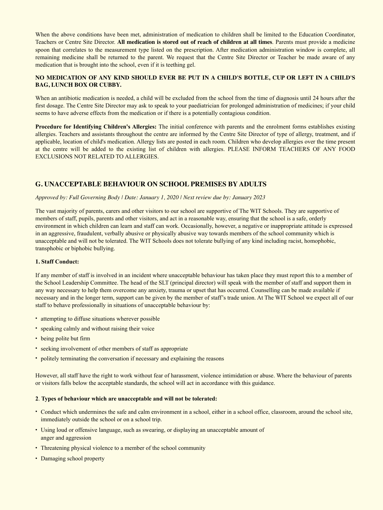When the above conditions have been met, administration of medication to children shall be limited to the Education Coordinator, Teachers or Centre Site Director. **All medication is stored out of reach of children at all times**. Parents must provide a medicine spoon that correlates to the measurement type listed on the prescription. After medication administration window is complete, all remaining medicine shall be returned to the parent. We request that the Centre Site Director or Teacher be made aware of any medication that is brought into the school, even if it is teething gel.

#### **NO MEDICATION OF ANY KIND SHOULD EVER BE PUT IN A CHILD'S BOTTLE, CUP OR LEFT IN A CHILD'S BAG, LUNCH BOX OR CUBBY.**

When an antibiotic medication is needed, a child will be excluded from the school from the time of diagnosis until 24 hours after the first dosage. The Centre Site Director may ask to speak to your paediatrician for prolonged administration of medicines; if your child seems to have adverse effects from the medication or if there is a potentially contagious condition.

**Procedure for Identifying Children's Allergies:** The initial conference with parents and the enrolment forms establishes existing allergies. Teachers and assistants throughout the centre are informed by the Centre Site Director of type of allergy, treatment, and if applicable, location of child's medication. Allergy lists are posted in each room. Children who develop allergies over the time present at the centre will be added to the existing list of children with allergies. PLEASE INFORM TEACHERS OF ANY FOOD EXCLUSIONS NOT RELATED TO ALLERGIES.

# **G. UNACCEPTABLE BEHAVIOUR ON SCHOOL PREMISES BY ADULTS**

#### *Approved by: Full Governing Body | Date: January 1, 2020 | Next review due by: January 2023*

The vast majority of parents, carers and other visitors to our school are supportive of The WIT Schools. They are supportive of members of staff, pupils, parents and other visitors, and act in a reasonable way, ensuring that the school is a safe, orderly environment in which children can learn and staff can work. Occasionally, however, a negative or inappropriate attitude is expressed in an aggressive, fraudulent, verbally abusive or physically abusive way towards members of the school community which is unacceptable and will not be tolerated. The WIT Schools does not tolerate bullying of any kind including racist, homophobic, transphobic or biphobic bullying.

#### **1. Staff Conduct:**

If any member of staff is involved in an incident where unacceptable behaviour has taken place they must report this to a member of the School Leadership Committee. The head of the SLT (principal director) will speak with the member of staff and support them in any way necessary to help them overcome any anxiety, trauma or upset that has occurred. Counselling can be made available if necessary and in the longer term, support can be given by the member of staff's trade union. At The WIT School we expect all of our staff to behave professionally in situations of unacceptable behaviour by:

- attempting to diffuse situations wherever possible
- speaking calmly and without raising their voice
- being polite but firm
- seeking involvement of other members of staff as appropriate
- politely terminating the conversation if necessary and explaining the reasons

However, all staff have the right to work without fear of harassment, violence intimidation or abuse. Where the behaviour of parents or visitors falls below the acceptable standards, the school will act in accordance with this guidance.

#### **2**. **Types of behaviour which are unacceptable and will not be tolerated:**

- Conduct which undermines the safe and calm environment in a school, either in a school office, classroom, around the school site, immediately outside the school or on a school trip.
- Using loud or offensive language, such as swearing, or displaying an unacceptable amount of anger and aggression
- Threatening physical violence to a member of the school community
- Damaging school property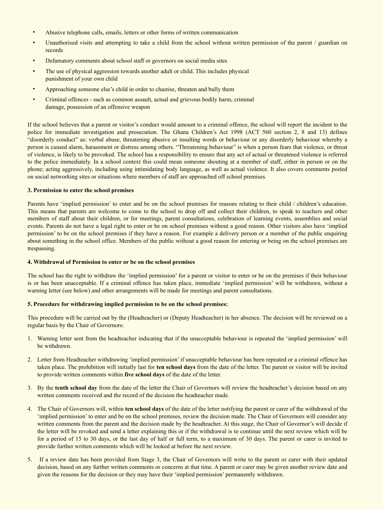- Abusive telephone calls, emails, letters or other forms of written communication
- Unauthorised visits and attempting to take a child from the school without written permission of the parent / guardian on records
- Defamatory comments about school staff or governors on social media sites
- The use of physical aggression towards another adult or child. This includes physical punishment of your own child
- Approaching someone else's child in order to chastise, threaten and bully them
- Criminal offences such as common assault, actual and grievous bodily harm, criminal damage, possession of an offensive weapon

If the school believes that a parent or visitor's conduct would amount to a criminal offence, the school will report the incident to the police for immediate investigation and prosecution. The Ghana Children's Act 1998 (ACT 560 section 2, 8 and 13) defines "disorderly conduct" as: verbal abuse, threatening abusive or insulting words or behaviour or any disorderly behaviour whereby a person is caused alarm, harassment or distress among others. "Threatening behaviour" is when a person fears that violence, or threat of violence, is likely to be provoked. The school has a responsibility to ensure that any act of actual or threatened violence is referred to the police immediately. In a school context this could mean someone shouting at a member of staff, either in person or on the phone; acting aggressively, including using intimidating body language, as well as actual violence. It also covers comments posted on social networking sites or situations where members of staff are approached off school premises.

#### **3. Permission to enter the school premises**

Parents have 'implied permission' to enter and be on the school premises for reasons relating to their child / children's education. This means that parents are welcome to come to the school to drop off and collect their children, to speak to teachers and other members of staff about their children, or for meetings, parent consultations, celebration of learning events, assemblies and social events. Parents do not have a legal right to enter or be on school premises without a good reason. Other visitors also have 'implied permission' to be on the school premises if they have a reason. For example a delivery person or a member of the public enquiring about something in the school office. Members of the public without a good reason for entering or being on the school premises are trespassing.

#### **4. Withdrawal of Permission to enter or be on the school premises**

The school has the right to withdraw the 'implied permission' for a parent or visitor to enter or be on the premises if their behaviour is or has been unacceptable. If a criminal offence has taken place, immediate 'implied permission' will be withdrawn, without a warning letter (see below) and other arrangements will be made for meetings and parent consultations.

#### **5. Procedure for withdrawing implied permission to be on the school premises:**

This procedure will be carried out by the (Headteacher) or (Deputy Headteacher) in her absence. The decision will be reviewed on a regular basis by the Chair of Governors:

- 1. Warning letter sent from the headteacher indicating that if the unacceptable behaviour is repeated the 'implied permission' will be withdrawn.
- 2. Letter from Headteacher withdrawing 'implied permission' if unacceptable behaviour has been repeated or a criminal offence has taken place. The prohibition will initially last for **ten school days** from the date of the letter. The parent or visitor will be invited to provide written comments within **five school days** of the date of the letter.
- 3. By the **tenth school day** from the date of the letter the Chair of Governors will review the headteacher's decision based on any written comments received and the record of the decision the headteacher made.
- 4. The Chair of Governors will, within **ten school days** of the date of the letter notifying the parent or carer of the withdrawal of the 'implied permission' to enter and be on the school premises, review the decision made. The Chair of Governors will consider any written comments from the parent and the decision made by the headteacher. At this stage, the Chair of Governor's will decide if the letter will be revoked and send a letter explaining this or if the withdrawal is to continue until the next review which will be for a period of 15 to 30 days, or the last day of half or full term, to a maximum of 30 days. The parent or carer is invited to provide further written comments which will be looked at before the next review.
- 5. If a review date has been provided from Stage 3, the Chair of Governors will write to the parent or carer with their updated decision, based on any further written comments or concerns at that time. A parent or carer may be given another review date and given the reasons for the decision or they may have their 'implied permission' permanently withdrawn.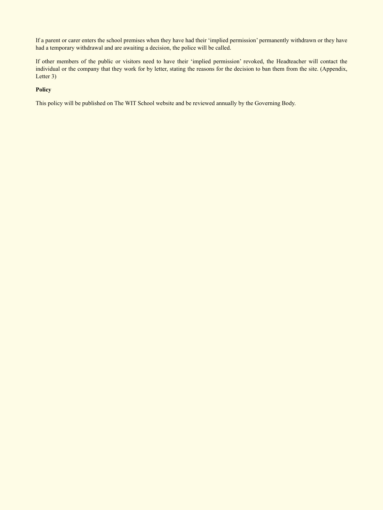If a parent or carer enters the school premises when they have had their 'implied permission' permanently withdrawn or they have had a temporary withdrawal and are awaiting a decision, the police will be called.

If other members of the public or visitors need to have their 'implied permission' revoked, the Headteacher will contact the individual or the company that they work for by letter, stating the reasons for the decision to ban them from the site. (Appendix, Letter 3)

#### **Policy**

This policy will be published on The WIT School website and be reviewed annually by the Governing Body.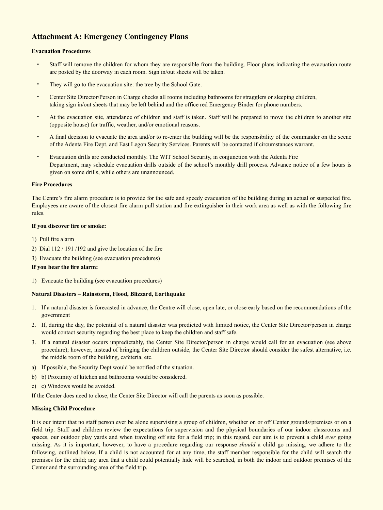# **Attachment A: Emergency Contingency Plans**

#### **Evacuation Procedures**

- Staff will remove the children for whom they are responsible from the building. Floor plans indicating the evacuation route are posted by the doorway in each room. Sign in/out sheets will be taken.
- They will go to the evacuation site: the tree by the School Gate.
- Center Site Director/Person in Charge checks all rooms including bathrooms for stragglers or sleeping children, taking sign in/out sheets that may be left behind and the office red Emergency Binder for phone numbers.
- At the evacuation site, attendance of children and staff is taken. Staff will be prepared to move the children to another site (opposite house) for traffic, weather, and/or emotional reasons.
- A final decision to evacuate the area and/or to re-enter the building will be the responsibility of the commander on the scene of the Adenta Fire Dept. and East Legon Security Services. Parents will be contacted if circumstances warrant.
- Evacuation drills are conducted monthly. The WIT School Security, in conjunction with the Adenta Fire Department, may schedule evacuation drills outside of the school's monthly drill process. Advance notice of a few hours is given on some drills, while others are unannounced.

#### **Fire Procedures**

The Centre's fire alarm procedure is to provide for the safe and speedy evacuation of the building during an actual or suspected fire. Employees are aware of the closest fire alarm pull station and fire extinguisher in their work area as well as with the following fire rules.

#### **If you discover fire or smoke:**

- 1) Pull fire alarm
- 2) Dial 112 / 191 /192 and give the location of the fire
- 3) Evacuate the building (see evacuation procedures)

#### **If you hear the fire alarm:**

1) Evacuate the building (see evacuation procedures)

#### **Natural Disasters – Rainstorm, Flood, Blizzard, Earthquake**

- 1. If a natural disaster is forecasted in advance, the Centre will close, open late, or close early based on the recommendations of the government
- 2. If, during the day, the potential of a natural disaster was predicted with limited notice, the Center Site Director/person in charge would contact security regarding the best place to keep the children and staff safe.
- 3. If a natural disaster occurs unpredictably, the Center Site Director/person in charge would call for an evacuation (see above procedure); however, instead of bringing the children outside, the Center Site Director should consider the safest alternative, i.e. the middle room of the building, cafeteria, etc.
- a) If possible, the Security Dept would be notified of the situation.
- b) b) Proximity of kitchen and bathrooms would be considered.
- c) c) Windows would be avoided.

If the Center does need to close, the Center Site Director will call the parents as soon as possible.

#### **Missing Child Procedure**

It is our intent that no staff person ever be alone supervising a group of children, whether on or off Center grounds/premises or on a field trip. Staff and children review the expectations for supervision and the physical boundaries of our indoor classrooms and spaces, our outdoor play yards and when traveling off site for a field trip; in this regard, our aim is to prevent a child *ever* going missing. As it is important, however, to have a procedure regarding our response *should* a child go missing, we adhere to the following, outlined below. If a child is not accounted for at any time, the staff member responsible for the child will search the premises for the child; any area that a child could potentially hide will be searched, in both the indoor and outdoor premises of the Center and the surrounding area of the field trip.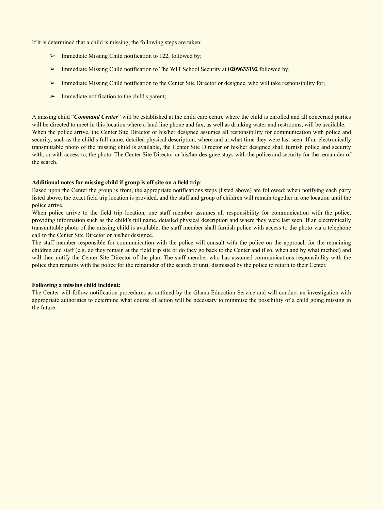If it is determined that a child is missing, the following steps are taken:

- $\triangleright$  Immediate Missing Child notification to 122, followed by;
- ➢ Immediate Missing Child notification to The WIT School Security at **0209633192** followed by;
- Immediate Missing Child notification to the Center Site Director or designee, who will take responsibility for;
- $\triangleright$  Immediate notification to the child's parent;

A missing child "*Command Center*" will be established at the child care centre where the child is enrolled and all concerned parties will be directed to meet in this location where a land line phone and fax, as well as drinking water and restrooms, will be available. When the police arrive, the Center Site Director or his/her designee assumes all responsibility for communication with police and security, such as the child's full name, detailed physical description, where and at what time they were last seen. If an electronically transmittable photo of the missing child is available, the Center Site Director or his/her designee shall furnish police and security with, or with access to, the photo. The Center Site Director or his/her designee stays with the police and security for the remainder of the search.

#### **Additional notes for missing child if group is off site on a field trip**:

Based upon the Center the group is from, the appropriate notifications steps (listed above) are followed; when notifying each party listed above, the exact field trip location is provided, and the staff and group of children will remain together in one location until the police arrive.

When police arrive to the field trip location, one staff member assumes all responsibility for communication with the police, providing information such as the child's full name, detailed physical description and where they were last seen. If an electronically transmittable photo of the missing child is available, the staff member shall furnish police with access to the photo via a telephone call to the Center Site Director or his/her designee.

The staff member responsible for communication with the police will consult with the police on the approach for the remaining children and staff (e.g. do they remain at the field trip site or do they go back to the Center and if so, when and by what method) and will then notify the Center Site Director of the plan. The staff member who has assumed communications responsibility with the police then remains with the police for the remainder of the search or until dismissed by the police to return to their Center.

#### **Following a missing child incident:**

The Center will follow notification procedures as outlined by the Ghana Education Service and will conduct an investigation with appropriate authorities to determine what course of action will be necessary to minimise the possibility of a child going missing in the future.